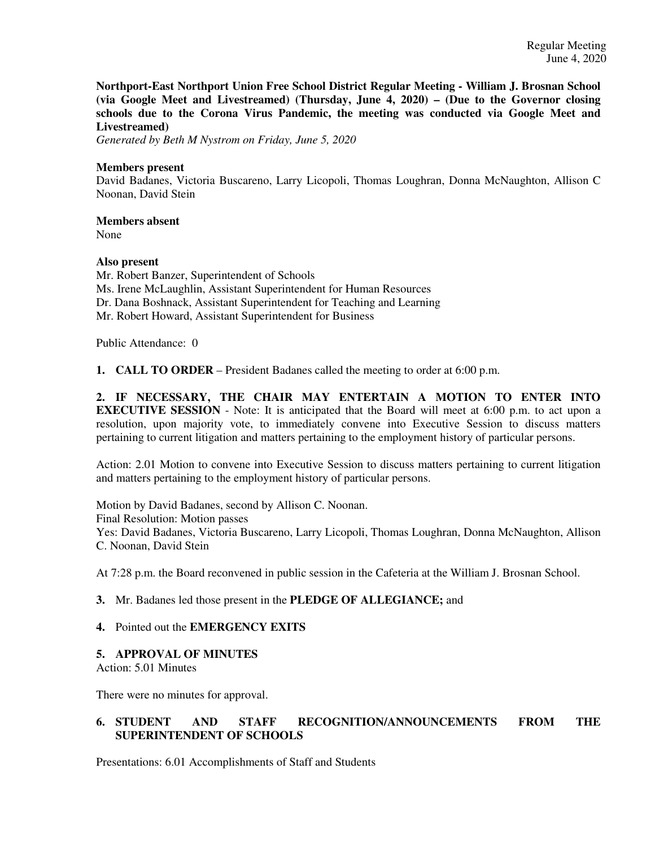**Northport-East Northport Union Free School District Regular Meeting - William J. Brosnan School (via Google Meet and Livestreamed) (Thursday, June 4, 2020) – (Due to the Governor closing schools due to the Corona Virus Pandemic, the meeting was conducted via Google Meet and Livestreamed)**

*Generated by Beth M Nystrom on Friday, June 5, 2020*

### **Members present**

David Badanes, Victoria Buscareno, Larry Licopoli, Thomas Loughran, Donna McNaughton, Allison C Noonan, David Stein

**Members absent** 

None

## **Also present**

Mr. Robert Banzer, Superintendent of Schools Ms. Irene McLaughlin, Assistant Superintendent for Human Resources Dr. Dana Boshnack, Assistant Superintendent for Teaching and Learning Mr. Robert Howard, Assistant Superintendent for Business

Public Attendance: 0

**1. CALL TO ORDER** – President Badanes called the meeting to order at 6:00 p.m.

**2. IF NECESSARY, THE CHAIR MAY ENTERTAIN A MOTION TO ENTER INTO EXECUTIVE SESSION** - Note: It is anticipated that the Board will meet at 6:00 p.m. to act upon a resolution, upon majority vote, to immediately convene into Executive Session to discuss matters pertaining to current litigation and matters pertaining to the employment history of particular persons.

Action: 2.01 Motion to convene into Executive Session to discuss matters pertaining to current litigation and matters pertaining to the employment history of particular persons.

Motion by David Badanes, second by Allison C. Noonan. Final Resolution: Motion passes Yes: David Badanes, Victoria Buscareno, Larry Licopoli, Thomas Loughran, Donna McNaughton, Allison C. Noonan, David Stein

At 7:28 p.m. the Board reconvened in public session in the Cafeteria at the William J. Brosnan School.

# **3.** Mr. Badanes led those present in the **PLEDGE OF ALLEGIANCE;** and

#### **4.** Pointed out the **EMERGENCY EXITS**

#### **5. APPROVAL OF MINUTES**

Action: 5.01 Minutes

There were no minutes for approval.

# **6. STUDENT AND STAFF RECOGNITION/ANNOUNCEMENTS FROM THE SUPERINTENDENT OF SCHOOLS**

Presentations: 6.01 Accomplishments of Staff and Students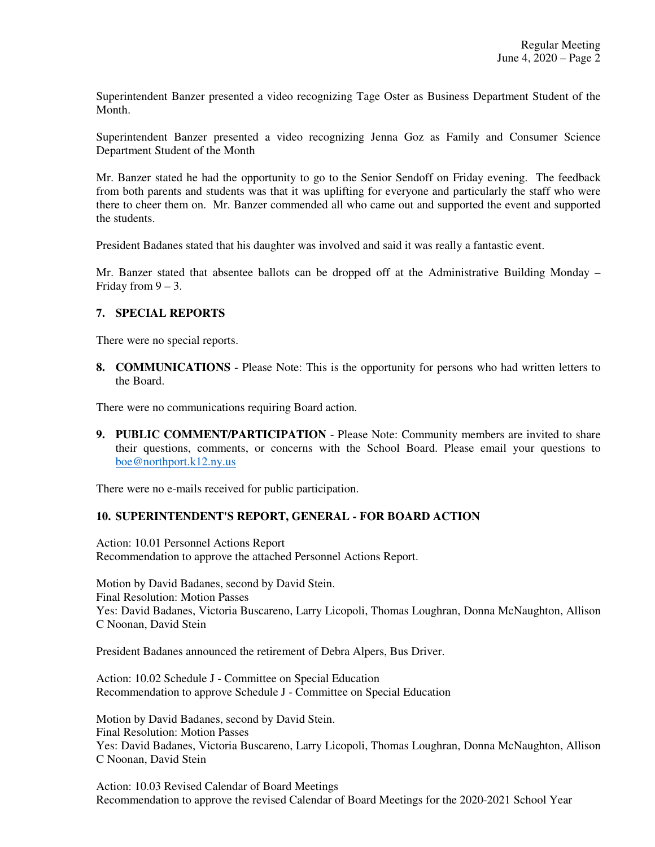Superintendent Banzer presented a video recognizing Tage Oster as Business Department Student of the Month.

Superintendent Banzer presented a video recognizing Jenna Goz as Family and Consumer Science Department Student of the Month

Mr. Banzer stated he had the opportunity to go to the Senior Sendoff on Friday evening. The feedback from both parents and students was that it was uplifting for everyone and particularly the staff who were there to cheer them on. Mr. Banzer commended all who came out and supported the event and supported the students.

President Badanes stated that his daughter was involved and said it was really a fantastic event.

Mr. Banzer stated that absentee ballots can be dropped off at the Administrative Building Monday – Friday from  $9 - 3$ .

## **7. SPECIAL REPORTS**

There were no special reports.

**8. COMMUNICATIONS** - Please Note: This is the opportunity for persons who had written letters to the Board.

There were no communications requiring Board action.

**9. PUBLIC COMMENT/PARTICIPATION** - Please Note: Community members are invited to share their questions, comments, or concerns with the School Board. Please email your questions to boe@northport.k12.ny.us

There were no e-mails received for public participation.

#### **10. SUPERINTENDENT'S REPORT, GENERAL - FOR BOARD ACTION**

Action: 10.01 Personnel Actions Report Recommendation to approve the attached Personnel Actions Report.

Motion by David Badanes, second by David Stein. Final Resolution: Motion Passes Yes: David Badanes, Victoria Buscareno, Larry Licopoli, Thomas Loughran, Donna McNaughton, Allison C Noonan, David Stein

President Badanes announced the retirement of Debra Alpers, Bus Driver.

Action: 10.02 Schedule J - Committee on Special Education Recommendation to approve Schedule J - Committee on Special Education

Motion by David Badanes, second by David Stein. Final Resolution: Motion Passes Yes: David Badanes, Victoria Buscareno, Larry Licopoli, Thomas Loughran, Donna McNaughton, Allison C Noonan, David Stein

Action: 10.03 Revised Calendar of Board Meetings Recommendation to approve the revised Calendar of Board Meetings for the 2020-2021 School Year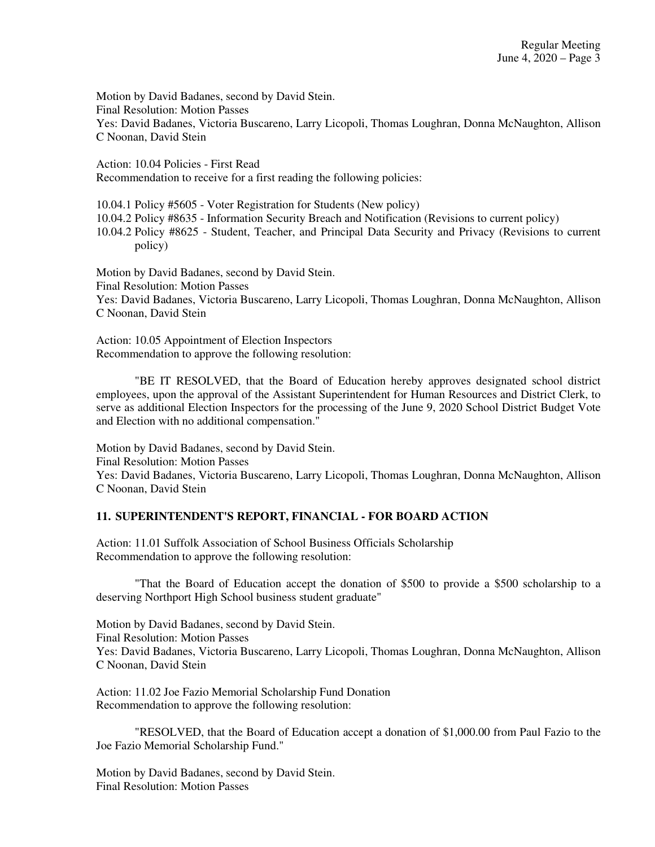Motion by David Badanes, second by David Stein. Final Resolution: Motion Passes Yes: David Badanes, Victoria Buscareno, Larry Licopoli, Thomas Loughran, Donna McNaughton, Allison C Noonan, David Stein

Action: 10.04 Policies - First Read Recommendation to receive for a first reading the following policies:

10.04.1 Policy #5605 - Voter Registration for Students (New policy)

10.04.2 Policy #8635 - Information Security Breach and Notification (Revisions to current policy)

10.04.2 Policy #8625 - Student, Teacher, and Principal Data Security and Privacy (Revisions to current policy)

Motion by David Badanes, second by David Stein. Final Resolution: Motion Passes Yes: David Badanes, Victoria Buscareno, Larry Licopoli, Thomas Loughran, Donna McNaughton, Allison C Noonan, David Stein

Action: 10.05 Appointment of Election Inspectors Recommendation to approve the following resolution:

"BE IT RESOLVED, that the Board of Education hereby approves designated school district employees, upon the approval of the Assistant Superintendent for Human Resources and District Clerk, to serve as additional Election Inspectors for the processing of the June 9, 2020 School District Budget Vote and Election with no additional compensation."

Motion by David Badanes, second by David Stein. Final Resolution: Motion Passes Yes: David Badanes, Victoria Buscareno, Larry Licopoli, Thomas Loughran, Donna McNaughton, Allison C Noonan, David Stein

#### **11. SUPERINTENDENT'S REPORT, FINANCIAL - FOR BOARD ACTION**

Action: 11.01 Suffolk Association of School Business Officials Scholarship Recommendation to approve the following resolution:

"That the Board of Education accept the donation of \$500 to provide a \$500 scholarship to a deserving Northport High School business student graduate"

Motion by David Badanes, second by David Stein. Final Resolution: Motion Passes Yes: David Badanes, Victoria Buscareno, Larry Licopoli, Thomas Loughran, Donna McNaughton, Allison C Noonan, David Stein

Action: 11.02 Joe Fazio Memorial Scholarship Fund Donation Recommendation to approve the following resolution:

"RESOLVED, that the Board of Education accept a donation of \$1,000.00 from Paul Fazio to the Joe Fazio Memorial Scholarship Fund."

Motion by David Badanes, second by David Stein. Final Resolution: Motion Passes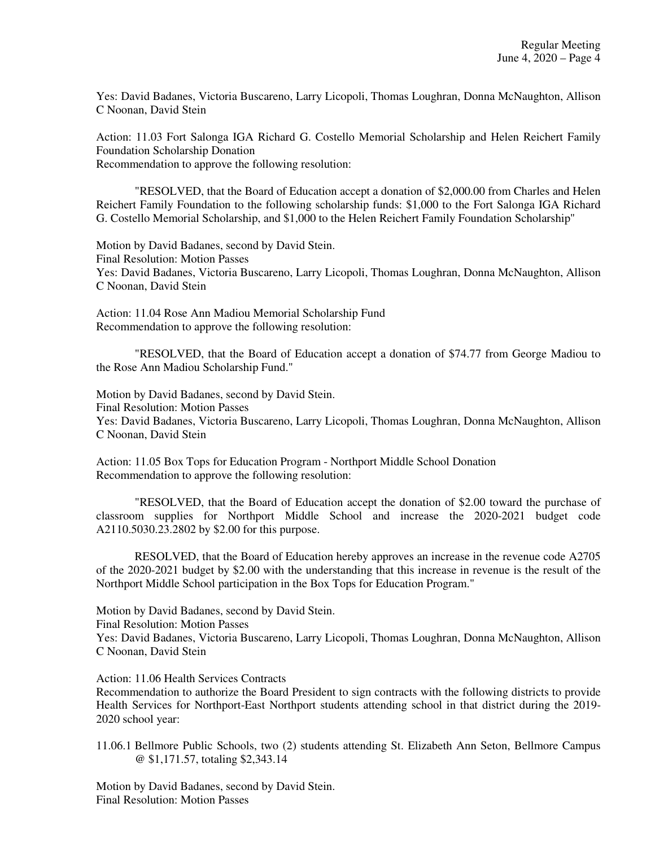Yes: David Badanes, Victoria Buscareno, Larry Licopoli, Thomas Loughran, Donna McNaughton, Allison C Noonan, David Stein

Action: 11.03 Fort Salonga IGA Richard G. Costello Memorial Scholarship and Helen Reichert Family Foundation Scholarship Donation Recommendation to approve the following resolution:

"RESOLVED, that the Board of Education accept a donation of \$2,000.00 from Charles and Helen Reichert Family Foundation to the following scholarship funds: \$1,000 to the Fort Salonga IGA Richard G. Costello Memorial Scholarship, and \$1,000 to the Helen Reichert Family Foundation Scholarship"

Motion by David Badanes, second by David Stein. Final Resolution: Motion Passes Yes: David Badanes, Victoria Buscareno, Larry Licopoli, Thomas Loughran, Donna McNaughton, Allison C Noonan, David Stein

Action: 11.04 Rose Ann Madiou Memorial Scholarship Fund Recommendation to approve the following resolution:

"RESOLVED, that the Board of Education accept a donation of \$74.77 from George Madiou to the Rose Ann Madiou Scholarship Fund."

Motion by David Badanes, second by David Stein. Final Resolution: Motion Passes Yes: David Badanes, Victoria Buscareno, Larry Licopoli, Thomas Loughran, Donna McNaughton, Allison C Noonan, David Stein

Action: 11.05 Box Tops for Education Program - Northport Middle School Donation Recommendation to approve the following resolution:

"RESOLVED, that the Board of Education accept the donation of \$2.00 toward the purchase of classroom supplies for Northport Middle School and increase the 2020-2021 budget code A2110.5030.23.2802 by \$2.00 for this purpose.

RESOLVED, that the Board of Education hereby approves an increase in the revenue code A2705 of the 2020-2021 budget by \$2.00 with the understanding that this increase in revenue is the result of the Northport Middle School participation in the Box Tops for Education Program."

Motion by David Badanes, second by David Stein.

Final Resolution: Motion Passes

Yes: David Badanes, Victoria Buscareno, Larry Licopoli, Thomas Loughran, Donna McNaughton, Allison C Noonan, David Stein

Action: 11.06 Health Services Contracts

Recommendation to authorize the Board President to sign contracts with the following districts to provide Health Services for Northport-East Northport students attending school in that district during the 2019- 2020 school year:

11.06.1 Bellmore Public Schools, two (2) students attending St. Elizabeth Ann Seton, Bellmore Campus @ \$1,171.57, totaling \$2,343.14

Motion by David Badanes, second by David Stein. Final Resolution: Motion Passes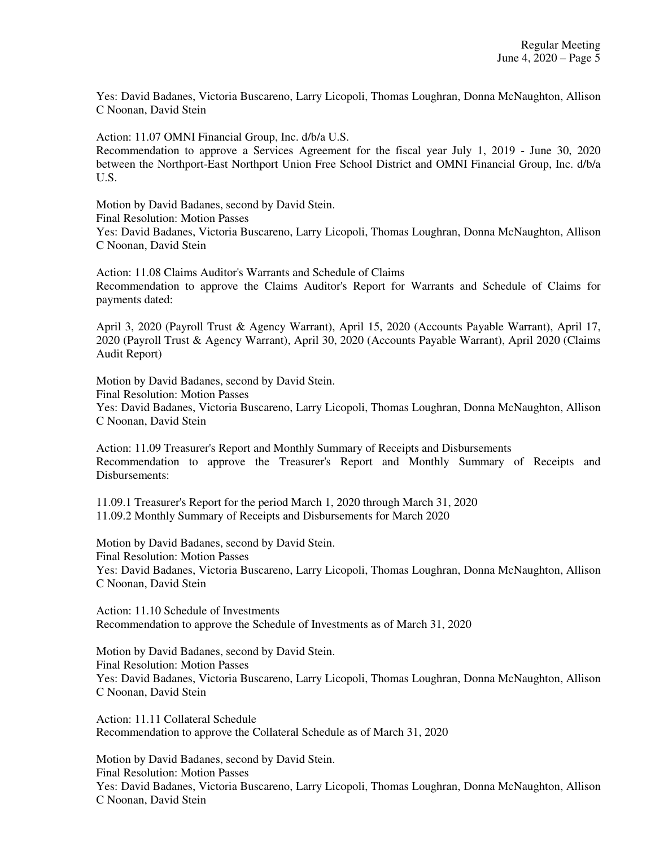Yes: David Badanes, Victoria Buscareno, Larry Licopoli, Thomas Loughran, Donna McNaughton, Allison C Noonan, David Stein

Action: 11.07 OMNI Financial Group, Inc. d/b/a U.S.

Recommendation to approve a Services Agreement for the fiscal year July 1, 2019 - June 30, 2020 between the Northport-East Northport Union Free School District and OMNI Financial Group, Inc. d/b/a U.S.

Motion by David Badanes, second by David Stein.

Final Resolution: Motion Passes

Yes: David Badanes, Victoria Buscareno, Larry Licopoli, Thomas Loughran, Donna McNaughton, Allison C Noonan, David Stein

Action: 11.08 Claims Auditor's Warrants and Schedule of Claims Recommendation to approve the Claims Auditor's Report for Warrants and Schedule of Claims for payments dated:

April 3, 2020 (Payroll Trust & Agency Warrant), April 15, 2020 (Accounts Payable Warrant), April 17, 2020 (Payroll Trust & Agency Warrant), April 30, 2020 (Accounts Payable Warrant), April 2020 (Claims Audit Report)

Motion by David Badanes, second by David Stein.

Final Resolution: Motion Passes

Yes: David Badanes, Victoria Buscareno, Larry Licopoli, Thomas Loughran, Donna McNaughton, Allison C Noonan, David Stein

Action: 11.09 Treasurer's Report and Monthly Summary of Receipts and Disbursements Recommendation to approve the Treasurer's Report and Monthly Summary of Receipts and Disbursements:

11.09.1 Treasurer's Report for the period March 1, 2020 through March 31, 2020 11.09.2 Monthly Summary of Receipts and Disbursements for March 2020

Motion by David Badanes, second by David Stein. Final Resolution: Motion Passes Yes: David Badanes, Victoria Buscareno, Larry Licopoli, Thomas Loughran, Donna McNaughton, Allison C Noonan, David Stein

Action: 11.10 Schedule of Investments Recommendation to approve the Schedule of Investments as of March 31, 2020

Motion by David Badanes, second by David Stein. Final Resolution: Motion Passes Yes: David Badanes, Victoria Buscareno, Larry Licopoli, Thomas Loughran, Donna McNaughton, Allison C Noonan, David Stein

Action: 11.11 Collateral Schedule Recommendation to approve the Collateral Schedule as of March 31, 2020

Motion by David Badanes, second by David Stein. Final Resolution: Motion Passes Yes: David Badanes, Victoria Buscareno, Larry Licopoli, Thomas Loughran, Donna McNaughton, Allison C Noonan, David Stein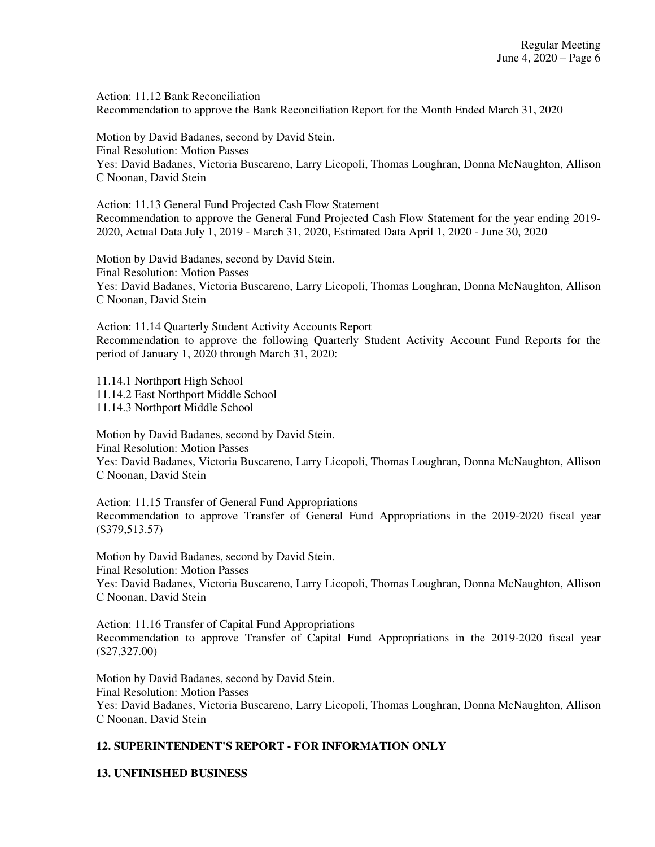Action: 11.12 Bank Reconciliation Recommendation to approve the Bank Reconciliation Report for the Month Ended March 31, 2020

Motion by David Badanes, second by David Stein. Final Resolution: Motion Passes Yes: David Badanes, Victoria Buscareno, Larry Licopoli, Thomas Loughran, Donna McNaughton, Allison C Noonan, David Stein

Action: 11.13 General Fund Projected Cash Flow Statement Recommendation to approve the General Fund Projected Cash Flow Statement for the year ending 2019- 2020, Actual Data July 1, 2019 - March 31, 2020, Estimated Data April 1, 2020 - June 30, 2020

Motion by David Badanes, second by David Stein. Final Resolution: Motion Passes Yes: David Badanes, Victoria Buscareno, Larry Licopoli, Thomas Loughran, Donna McNaughton, Allison C Noonan, David Stein

Action: 11.14 Quarterly Student Activity Accounts Report Recommendation to approve the following Quarterly Student Activity Account Fund Reports for the period of January 1, 2020 through March 31, 2020:

11.14.1 Northport High School 11.14.2 East Northport Middle School 11.14.3 Northport Middle School

Motion by David Badanes, second by David Stein. Final Resolution: Motion Passes Yes: David Badanes, Victoria Buscareno, Larry Licopoli, Thomas Loughran, Donna McNaughton, Allison C Noonan, David Stein

Action: 11.15 Transfer of General Fund Appropriations Recommendation to approve Transfer of General Fund Appropriations in the 2019-2020 fiscal year (\$379,513.57)

Motion by David Badanes, second by David Stein. Final Resolution: Motion Passes Yes: David Badanes, Victoria Buscareno, Larry Licopoli, Thomas Loughran, Donna McNaughton, Allison C Noonan, David Stein

Action: 11.16 Transfer of Capital Fund Appropriations Recommendation to approve Transfer of Capital Fund Appropriations in the 2019-2020 fiscal year (\$27,327.00)

Motion by David Badanes, second by David Stein. Final Resolution: Motion Passes Yes: David Badanes, Victoria Buscareno, Larry Licopoli, Thomas Loughran, Donna McNaughton, Allison C Noonan, David Stein

# **12. SUPERINTENDENT'S REPORT - FOR INFORMATION ONLY**

# **13. UNFINISHED BUSINESS**